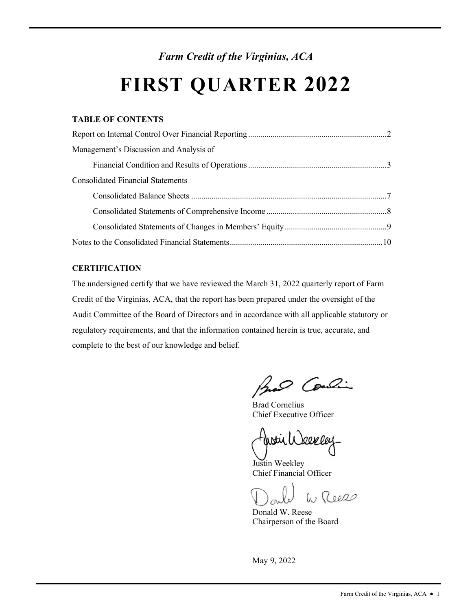# *Farm Credit of the Virginias, ACA*

# **FIRST QUARTER 2022**

# **TABLE OF CONTENTS**

| Management's Discussion and Analysis of  |  |
|------------------------------------------|--|
|                                          |  |
| <b>Consolidated Financial Statements</b> |  |
|                                          |  |
|                                          |  |
|                                          |  |
|                                          |  |

# **CERTIFICATION**

The undersigned certify that we have reviewed the March 31, 2022 quarterly report of Farm Credit of the Virginias, ACA, that the report has been prepared under the oversight of the Audit Committee of the Board of Directors and in accordance with all applicable statutory or regulatory requirements, and that the information contained herein is true, accurate, and complete to the best of our knowledge and belief.

had Condin

Brad Cornelius Chief Executive Officer

10.OW O.C

Justin Weekley Chief Financial Officer

W Reess

Donald W. Reese Chairperson of the Board

May 9, 2022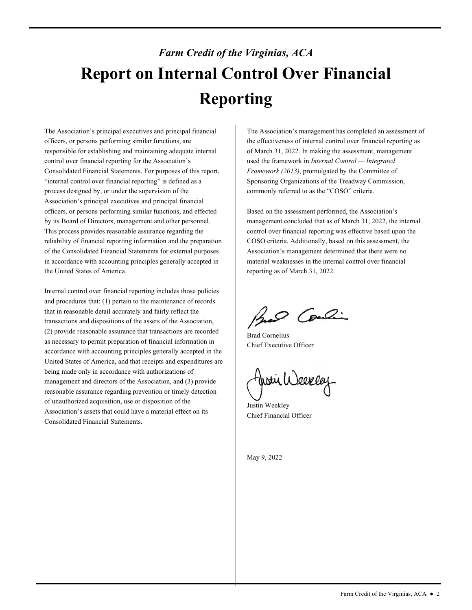# *Farm Credit of the Virginias, ACA*  **Report on Internal Control Over Financial Reporting**

The Association's principal executives and principal financial officers, or persons performing similar functions, are responsible for establishing and maintaining adequate internal control over financial reporting for the Association's Consolidated Financial Statements. For purposes of this report, "internal control over financial reporting" is defined as a process designed by, or under the supervision of the Association's principal executives and principal financial officers, or persons performing similar functions, and effected by its Board of Directors, management and other personnel. This process provides reasonable assurance regarding the reliability of financial reporting information and the preparation of the Consolidated Financial Statements for external purposes in accordance with accounting principles generally accepted in the United States of America.

Internal control over financial reporting includes those policies and procedures that: (1) pertain to the maintenance of records that in reasonable detail accurately and fairly reflect the transactions and dispositions of the assets of the Association, (2) provide reasonable assurance that transactions are recorded as necessary to permit preparation of financial information in accordance with accounting principles generally accepted in the United States of America, and that receipts and expenditures are being made only in accordance with authorizations of management and directors of the Association, and (3) provide reasonable assurance regarding prevention or timely detection of unauthorized acquisition, use or disposition of the Association's assets that could have a material effect on its Consolidated Financial Statements.

The Association's management has completed an assessment of the effectiveness of internal control over financial reporting as of March 31, 2022. In making the assessment, management used the framework in *Internal Control — Integrated Framework (2013)*, promulgated by the Committee of Sponsoring Organizations of the Treadway Commission, commonly referred to as the "COSO" criteria.

 Association's management determined that there were no Based on the assessment performed, the Association's management concluded that as of March 31, 2022, the internal control over financial reporting was effective based upon the COSO criteria. Additionally, based on this assessment, the material weaknesses in the internal control over financial reporting as of March 31, 2022.

Brad Condin

Brad Cornelius Chief Executive Officer

fistir Weekley

Justin Weekley Chief Financial Officer

May 9, 2022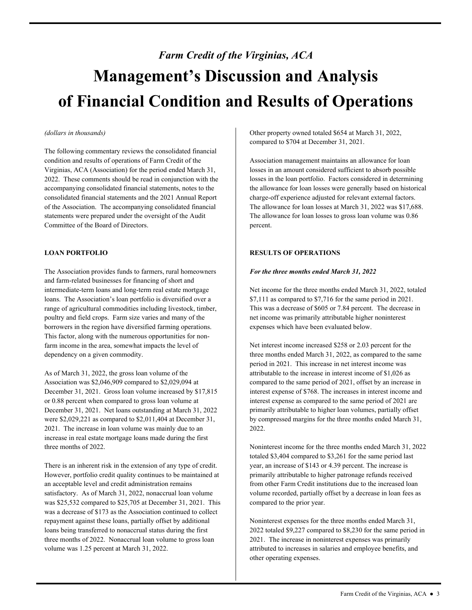# *Farm Credit of the Virginias, ACA*  **Management's Discussion and Analysis of Financial Condition and Results of Operations**

### *(dollars in thousands)*

The following commentary reviews the consolidated financial condition and results of operations of Farm Credit of the Virginias, ACA (Association) for the period ended March 31, 2022. These comments should be read in conjunction with the accompanying consolidated financial statements, notes to the consolidated financial statements and the 2021 Annual Report of the Association. The accompanying consolidated financial statements were prepared under the oversight of the Audit Committee of the Board of Directors.

# **LOAN PORTFOLIO**

The Association provides funds to farmers, rural homeowners and farm-related businesses for financing of short and intermediate-term loans and long-term real estate mortgage loans. The Association's loan portfolio is diversified over a range of agricultural commodities including livestock, timber, poultry and field crops. Farm size varies and many of the borrowers in the region have diversified farming operations. This factor, along with the numerous opportunities for nonfarm income in the area, somewhat impacts the level of dependency on a given commodity.

As of March 31, 2022, the gross loan volume of the Association was \$2,046,909 compared to \$2,029,094 at December 31, 2021. Gross loan volume increased by \$17,815 or 0.88 percent when compared to gross loan volume at December 31, 2021. Net loans outstanding at March 31, 2022 were \$2,029,221 as compared to \$2,011,404 at December 31, 2021. The increase in loan volume was mainly due to an increase in real estate mortgage loans made during the first three months of 2022.

 an acceptable level and credit administration remains repayment against these loans, partially offset by additional There is an inherent risk in the extension of any type of credit. However, portfolio credit quality continues to be maintained at satisfactory. As of March 31, 2022, nonaccrual loan volume was \$25,532 compared to \$25,705 at December 31, 2021. This was a decrease of \$173 as the Association continued to collect loans being transferred to nonaccrual status during the first three months of 2022. Nonaccrual loan volume to gross loan volume was 1.25 percent at March 31, 2022.

Other property owned totaled \$654 at March 31, 2022, compared to \$704 at December 31, 2021.

 Association management maintains an allowance for loan charge-off experience adjusted for relevant external factors. losses in an amount considered sufficient to absorb possible losses in the loan portfolio. Factors considered in determining the allowance for loan losses were generally based on historical The allowance for loan losses at March 31, 2022 was \$17,688. The allowance for loan losses to gross loan volume was 0.86 percent.

# **RESULTS OF OPERATIONS**

# *For the three months ended March 31, 2022*

expenses which have been evaluated below. Net income for the three months ended March 31, 2022, totaled \$7,111 as compared to \$7,716 for the same period in 2021. This was a decrease of \$605 or 7.84 percent. The decrease in net income was primarily attributable higher noninterest

Net interest income increased \$258 or 2.03 percent for the three months ended March 31, 2022, as compared to the same period in 2021. This increase in net interest income was attributable to the increase in interest income of \$1,026 as compared to the same period of 2021, offset by an increase in interest expense of \$768. The increases in interest income and interest expense as compared to the same period of 2021 are primarily attributable to higher loan volumes, partially offset by compressed margins for the three months ended March 31, 2022.

 volume recorded, partially offset by a decrease in loan fees as Noninterest income for the three months ended March 31, 2022 totaled \$3,404 compared to \$3,261 for the same period last year, an increase of \$143 or 4.39 percent. The increase is primarily attributable to higher patronage refunds received from other Farm Credit institutions due to the increased loan compared to the prior year.

Noninterest expenses for the three months ended March 31, 2022 totaled \$9,227 compared to \$8,230 for the same period in 2021. The increase in noninterest expenses was primarily attributed to increases in salaries and employee benefits, and other operating expenses.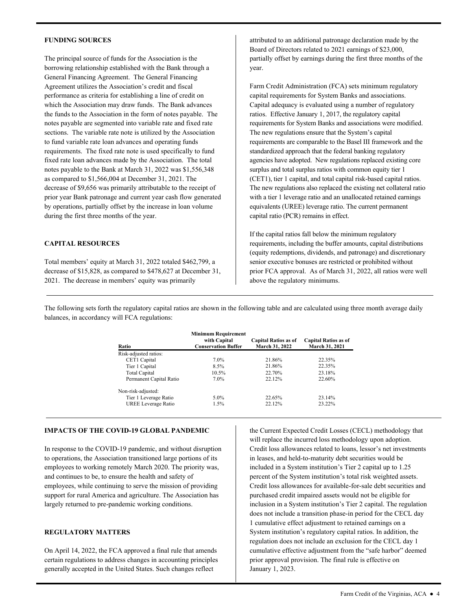#### **FUNDING SOURCES**

 General Financing Agreement. The General Financing Agreement utilizes the Association's credit and fiscal sections. The variable rate note is utilized by the Association requirements. The fixed rate note is used specifically to fund The principal source of funds for the Association is the borrowing relationship established with the Bank through a performance as criteria for establishing a line of credit on which the Association may draw funds. The Bank advances the funds to the Association in the form of notes payable. The notes payable are segmented into variable rate and fixed rate to fund variable rate loan advances and operating funds fixed rate loan advances made by the Association. The total notes payable to the Bank at March 31, 2022 was \$1,556,348 as compared to \$1,566,004 at December 31, 2021. The decrease of \$9,656 was primarily attributable to the receipt of prior year Bank patronage and current year cash flow generated by operations, partially offset by the increase in loan volume during the first three months of the year.

### **CAPITAL RESOURCES**

Total members' equity at March 31, 2022 totaled \$462,799, a decrease of \$15,828, as compared to \$478,627 at December 31, 2021. The decrease in members' equity was primarily

attributed to an additional patronage declaration made by the Board of Directors related to 2021 earnings of \$23,000, partially offset by earnings during the first three months of the year.

 Capital adequacy is evaluated using a number of regulatory ratios. Effective January 1, 2017, the regulatory capital Farm Credit Administration (FCA) sets minimum regulatory capital requirements for System Banks and associations. requirements for System Banks and associations were modified. The new regulations ensure that the System's capital requirements are comparable to the Basel III framework and the standardized approach that the federal banking regulatory agencies have adopted. New regulations replaced existing core surplus and total surplus ratios with common equity tier 1 (CET1), tier 1 capital, and total capital risk-based capital ratios. The new regulations also replaced the existing net collateral ratio with a tier 1 leverage ratio and an unallocated retained earnings equivalents (UREE) leverage ratio. The current permanent capital ratio (PCR) remains in effect.

If the capital ratios fall below the minimum regulatory requirements, including the buffer amounts, capital distributions (equity redemptions, dividends, and patronage) and discretionary senior executive bonuses are restricted or prohibited without prior FCA approval. As of March 31, 2022, all ratios were well above the regulatory minimums.

The following sets forth the regulatory capital ratios are shown in the following table and are calculated using three month average daily balances, in accordancy will FCA regulations:

| Ratio                      | <b>Minimum Requirement</b><br>with Capital<br><b>Conservation Buffer</b> | <b>Capital Ratios as of</b><br>March 31, 2022 | <b>Capital Ratios as of</b><br><b>March 31, 2021</b> |
|----------------------------|--------------------------------------------------------------------------|-----------------------------------------------|------------------------------------------------------|
| Risk-adjusted ratios:      |                                                                          |                                               |                                                      |
| CET1 Capital               | 7.0%                                                                     | 21.86%                                        | 22.35%                                               |
| Tier 1 Capital             | 8.5%                                                                     | 21.86%                                        | 22.35%                                               |
| <b>Total Capital</b>       | 10.5%                                                                    | 22.70%                                        | 23.18%                                               |
| Permanent Capital Ratio    | 7.0%                                                                     | 22.12%                                        | 22.60%                                               |
| Non-risk-adjusted:         |                                                                          |                                               |                                                      |
| Tier 1 Leverage Ratio      | $5.0\%$                                                                  | 22.65%                                        | 23.14%                                               |
| <b>UREE</b> Leverage Ratio | 1.5%                                                                     | 22.12%                                        | 23.22%                                               |

#### **IMPACTS OF THE COVID-19 GLOBAL PANDEMIC**

In response to the COVID-19 pandemic, and without disruption to operations, the Association transitioned large portions of its employees to working remotely March 2020. The priority was, and continues to be, to ensure the health and safety of employees, while continuing to serve the mission of providing support for rural America and agriculture. The Association has largely returned to pre-pandemic working conditions.

# **REGULATORY MATTERS**

On April 14, 2022, the FCA approved a final rule that amends certain regulations to address changes in accounting principles generally accepted in the United States. Such changes reflect

the Current Expected Credit Losses (CECL) methodology that will replace the incurred loss methodology upon adoption. Credit loss allowances related to loans, lessor's net investments in leases, and held-to-maturity debt securities would be included in a System institution's Tier 2 capital up to 1.25 percent of the System institution's total risk weighted assets. Credit loss allowances for available-for-sale debt securities and purchased credit impaired assets would not be eligible for inclusion in a System institution's Tier 2 capital. The regulation does not include a transition phase-in period for the CECL day 1 cumulative effect adjustment to retained earnings on a System institution's regulatory capital ratios. In addition, the regulation does not include an exclusion for the CECL day 1 cumulative effective adjustment from the "safe harbor" deemed prior approval provision. The final rule is effective on January 1, 2023.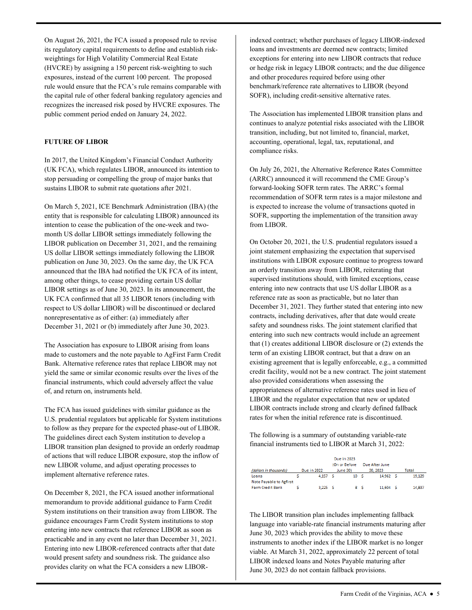On August 26, 2021, the FCA issued a proposed rule to revise its regulatory capital requirements to define and establish riskweightings for High Volatility Commercial Real Estate (HVCRE) by assigning a 150 percent risk-weighting to such exposures, instead of the current 100 percent. The proposed rule would ensure that the FCA's rule remains comparable with the capital rule of other federal banking regulatory agencies and recognizes the increased risk posed by HVCRE exposures. The public comment period ended on January 24, 2022.

# **FUTURE OF LIBOR**

In 2017, the United Kingdom's Financial Conduct Authority (UK FCA), which regulates LIBOR, announced its intention to stop persuading or compelling the group of major banks that sustains LIBOR to submit rate quotations after 2021.

On March 5, 2021, ICE Benchmark Administration (IBA) (the entity that is responsible for calculating LIBOR) announced its intention to cease the publication of the one-week and twomonth US dollar LIBOR settings immediately following the LIBOR publication on December 31, 2021, and the remaining US dollar LIBOR settings immediately following the LIBOR publication on June 30, 2023. On the same day, the UK FCA announced that the IBA had notified the UK FCA of its intent, among other things, to cease providing certain US dollar LIBOR settings as of June 30, 2023. In its announcement, the UK FCA confirmed that all 35 LIBOR tenors (including with respect to US dollar LIBOR) will be discontinued or declared nonrepresentative as of either: (a) immediately after December 31, 2021 or (b) immediately after June 30, 2023.

The Association has exposure to LIBOR arising from loans made to customers and the note payable to AgFirst Farm Credit Bank. Alternative reference rates that replace LIBOR may not yield the same or similar economic results over the lives of the financial instruments, which could adversely affect the value of, and return on, instruments held.

 The guidelines direct each System institution to develop a implement alternative reference rates. The FCA has issued guidelines with similar guidance as the U.S. prudential regulators but applicable for System institutions to follow as they prepare for the expected phase-out of LIBOR. LIBOR transition plan designed to provide an orderly roadmap of actions that will reduce LIBOR exposure, stop the inflow of new LIBOR volume, and adjust operating processes to

On December 8, 2021, the FCA issued another informational memorandum to provide additional guidance to Farm Credit System institutions on their transition away from LIBOR. The guidance encourages Farm Credit System institutions to stop entering into new contracts that reference LIBOR as soon as practicable and in any event no later than December 31, 2021. Entering into new LIBOR-referenced contracts after that date would present safety and soundness risk. The guidance also provides clarity on what the FCA considers a new LIBOR-

 loans and investments are deemed new contracts; limited indexed contract; whether purchases of legacy LIBOR-indexed exceptions for entering into new LIBOR contracts that reduce or hedge risk in legacy LIBOR contracts; and the due diligence and other procedures required before using other benchmark/reference rate alternatives to LIBOR (beyond SOFR), including credit-sensitive alternative rates.

 transition, including, but not limited to, financial, market, The Association has implemented LIBOR transition plans and continues to analyze potential risks associated with the LIBOR accounting, operational, legal, tax, reputational, and compliance risks.

On July 26, 2021, the Alternative Reference Rates Committee (ARRC) announced it will recommend the CME Group's forward-looking SOFR term rates. The ARRC's formal recommendation of SOFR term rates is a major milestone and is expected to increase the volume of transactions quoted in SOFR, supporting the implementation of the transition away from LIBOR.

 LIBOR and the regulator expectation that new or updated On October 20, 2021, the U.S. prudential regulators issued a joint statement emphasizing the expectation that supervised institutions with LIBOR exposure continue to progress toward an orderly transition away from LIBOR, reiterating that supervised institutions should, with limited exceptions, cease entering into new contracts that use US dollar LIBOR as a reference rate as soon as practicable, but no later than December 31, 2021. They further stated that entering into new contracts, including derivatives, after that date would create safety and soundness risks. The joint statement clarified that entering into such new contracts would include an agreement that (1) creates additional LIBOR disclosure or (2) extends the term of an existing LIBOR contract, but that a draw on an existing agreement that is legally enforceable, e.g., a committed credit facility, would not be a new contract. The joint statement also provided considerations when assessing the appropriateness of alternative reference rates used in lieu of LIBOR contracts include strong and clearly defined fallback rates for when the initial reference rate is discontinued.

The following is a summary of outstanding variable-rate financial instruments tied to LIBOR at March 31, 2022:

| (dollars in thousands)                             | Due in 2022        | Due in 2023<br>(On or Before)<br><b>June 30)</b> |     | Due After June<br>30.2023 | Total |        |  |  |
|----------------------------------------------------|--------------------|--------------------------------------------------|-----|---------------------------|-------|--------|--|--|
| Loans                                              | 4.157 <sub>5</sub> | 10 <sup>10</sup>                                 | - s | 14.962 S                  |       | 19.129 |  |  |
| Note Pavable to Agfirst<br><b>Farm Credit Bank</b> | $3,225$ $5$        |                                                  | 8 S | 11,604 \$                 |       | 14,837 |  |  |

The LIBOR transition plan includes implementing fallback language into variable-rate financial instruments maturing after June 30, 2023 which provides the ability to move these instruments to another index if the LIBOR market is no longer viable. At March 31, 2022, approximately 22 percent of total LIBOR indexed loans and Notes Payable maturing after June 30, 2023 do not contain fallback provisions.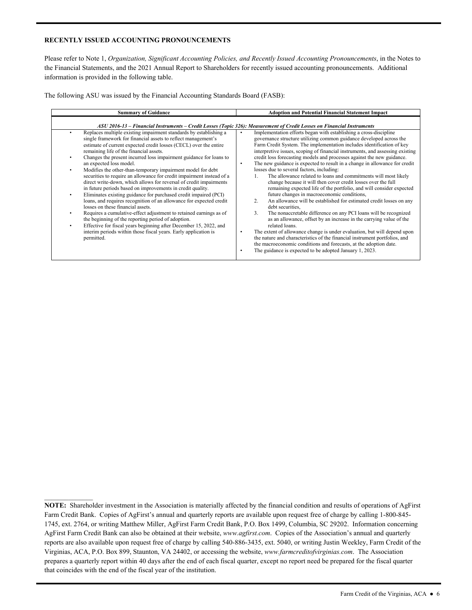# **RECENTLY ISSUED ACCOUNTING PRONOUNCEMENTS**

Please refer to Note 1, *Organization, Significant Accounting Policies, and Recently Issued Accounting Pronouncements*, in the Notes to the Financial Statements, and the 2021 Annual Report to Shareholders for recently issued accounting pronouncements. Additional information is provided in the following table.

The following ASU was issued by the Financial Accounting Standards Board (FASB):

| <b>Summary of Guidance</b>                                                                                                                                                                                                                                                                                                                                                                                                                                                                                                                                                                                                                                                                                                                                                                                                                                                                                                                                                                                                                                                                                                               | <b>Adoption and Potential Financial Statement Impact</b>                                                                                                                                                                                                                                                                                                                                                                                                                                                                                                                                                                                                                                                                                                                                                                                                                                                                                                                                                                                                                                                                                                                                                                                                                                                                                              |
|------------------------------------------------------------------------------------------------------------------------------------------------------------------------------------------------------------------------------------------------------------------------------------------------------------------------------------------------------------------------------------------------------------------------------------------------------------------------------------------------------------------------------------------------------------------------------------------------------------------------------------------------------------------------------------------------------------------------------------------------------------------------------------------------------------------------------------------------------------------------------------------------------------------------------------------------------------------------------------------------------------------------------------------------------------------------------------------------------------------------------------------|-------------------------------------------------------------------------------------------------------------------------------------------------------------------------------------------------------------------------------------------------------------------------------------------------------------------------------------------------------------------------------------------------------------------------------------------------------------------------------------------------------------------------------------------------------------------------------------------------------------------------------------------------------------------------------------------------------------------------------------------------------------------------------------------------------------------------------------------------------------------------------------------------------------------------------------------------------------------------------------------------------------------------------------------------------------------------------------------------------------------------------------------------------------------------------------------------------------------------------------------------------------------------------------------------------------------------------------------------------|
| ASU 2016-13 – Financial Instruments – Credit Losses (Topic 326): Measurement of Credit Losses on Financial Instruments                                                                                                                                                                                                                                                                                                                                                                                                                                                                                                                                                                                                                                                                                                                                                                                                                                                                                                                                                                                                                   |                                                                                                                                                                                                                                                                                                                                                                                                                                                                                                                                                                                                                                                                                                                                                                                                                                                                                                                                                                                                                                                                                                                                                                                                                                                                                                                                                       |
| Replaces multiple existing impairment standards by establishing a<br>$\bullet$<br>single framework for financial assets to reflect management's<br>estimate of current expected credit losses (CECL) over the entire<br>remaining life of the financial assets.<br>Changes the present incurred loss impairment guidance for loans to<br>an expected loss model.<br>Modifies the other-than-temporary impairment model for debt<br>$\bullet$<br>securities to require an allowance for credit impairment instead of a<br>direct write-down, which allows for reversal of credit impairments<br>in future periods based on improvements in credit quality.<br>Eliminates existing guidance for purchased credit impaired (PCI)<br>$\bullet$<br>loans, and requires recognition of an allowance for expected credit<br>losses on these financial assets.<br>Requires a cumulative-effect adjustment to retained earnings as of<br>the beginning of the reporting period of adoption.<br>Effective for fiscal years beginning after December 15, 2022, and<br>interim periods within those fiscal years. Early application is<br>permitted. | Implementation efforts began with establishing a cross-discipline<br>governance structure utilizing common guidance developed across the<br>Farm Credit System. The implementation includes identification of key<br>interpretive issues, scoping of financial instruments, and assessing existing<br>credit loss forecasting models and processes against the new guidance.<br>The new guidance is expected to result in a change in allowance for credit<br>٠<br>losses due to several factors, including:<br>The allowance related to loans and commitments will most likely<br>1.<br>change because it will then cover credit losses over the full<br>remaining expected life of the portfolio, and will consider expected<br>future changes in macroeconomic conditions,<br>An allowance will be established for estimated credit losses on any<br>2.<br>debt securities.<br>3.<br>The nonaccretable difference on any PCI loans will be recognized<br>as an allowance, offset by an increase in the carrying value of the<br>related loans.<br>The extent of allowance change is under evaluation, but will depend upon<br>٠<br>the nature and characteristics of the financial instrument portfolios, and<br>the macroeconomic conditions and forecasts, at the adoption date.<br>The guidance is expected to be adopted January 1, 2023.<br>٠ |

 that coincides with the end of the fiscal year of the institution. **NOTE:** Shareholder investment in the Association is materially affected by the financial condition and results of operations of AgFirst Farm Credit Bank. Copies of AgFirst's annual and quarterly reports are available upon request free of charge by calling 1-800-845- 1745, ext. 2764, or writing Matthew Miller, AgFirst Farm Credit Bank, P.O. Box 1499, Columbia, SC 29202. Information concerning AgFirst Farm Credit Bank can also be obtained at their website, *<www.agfirst.com>*. Copies of the Association's annual and quarterly reports are also available upon request free of charge by calling 540-886-3435, ext. 5040, or writing Justin Weekley, Farm Credit of the Virginias, ACA, P.O. Box 899, Staunton, VA 24402, or accessing the website, *<www.farmcreditofvirginias.com>*. The Association prepares a quarterly report within 40 days after the end of each fiscal quarter, except no report need be prepared for the fiscal quarter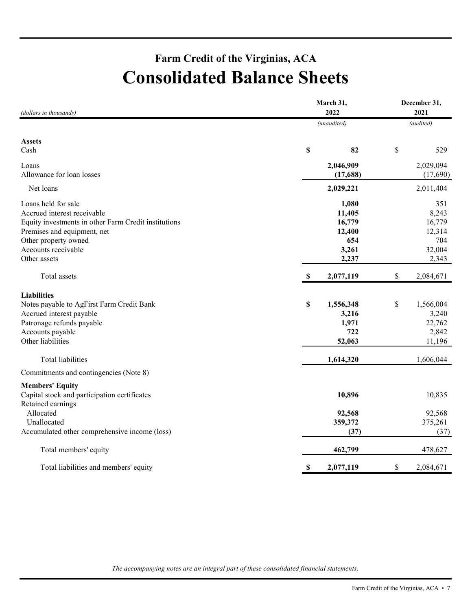# **Farm Credit of the Virginias, ACA Consolidated Balance Sheets**

| (dollars in thousands)                               | March 31,<br>2022          | December 31,<br>2021 |
|------------------------------------------------------|----------------------------|----------------------|
|                                                      | (unaudited)                | (audited)            |
| <b>Assets</b>                                        |                            |                      |
| Cash                                                 | \$<br>82                   | \$<br>529            |
| Loans                                                | 2,046,909                  | 2,029,094            |
| Allowance for loan losses                            | (17,688)                   | (17,690)             |
| Net loans                                            | 2,029,221                  | 2,011,404            |
| Loans held for sale                                  | 1,080                      | 351                  |
| Accrued interest receivable                          | 11,405                     | 8,243                |
| Equity investments in other Farm Credit institutions | 16,779                     | 16,779               |
| Premises and equipment, net                          | 12,400                     | 12,314               |
| Other property owned                                 | 654                        | 704                  |
| Accounts receivable                                  | 3,261                      | 32,004               |
| Other assets                                         | 2,237                      | 2,343                |
| Total assets                                         | $\mathbf{\$}$<br>2,077,119 | \$<br>2,084,671      |
| <b>Liabilities</b>                                   |                            |                      |
| Notes payable to AgFirst Farm Credit Bank            | \$<br>1,556,348            | \$<br>1,566,004      |
| Accrued interest payable                             | 3,216                      | 3,240                |
| Patronage refunds payable                            | 1,971                      | 22,762               |
| Accounts payable                                     | 722                        | 2,842                |
| Other liabilities                                    | 52,063                     | 11,196               |
| Total liabilities                                    | 1,614,320                  | 1,606,044            |
| Commitments and contingencies (Note 8)               |                            |                      |
| <b>Members' Equity</b>                               |                            |                      |
| Capital stock and participation certificates         | 10,896                     | 10,835               |
| Retained earnings                                    |                            |                      |
| Allocated                                            | 92,568                     | 92,568               |
| Unallocated                                          | 359,372                    | 375,261              |
| Accumulated other comprehensive income (loss)        | (37)                       | (37)                 |
| Total members' equity                                | 462,799                    | 478,627              |
| Total liabilities and members' equity                | \$<br>2,077,119            | \$<br>2,084,671      |

*The accompanying notes are an integral part of these consolidated financial statements.*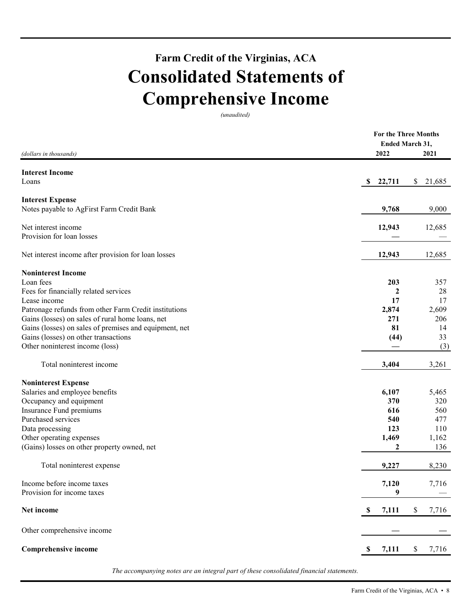# **Farm Credit of the Virginias, ACA Consolidated Statements of Comprehensive Income**

*(unaudited)* 

|                                                                                                                                                                                                                                                                                                                                                                                  | For the Three Months |              |
|----------------------------------------------------------------------------------------------------------------------------------------------------------------------------------------------------------------------------------------------------------------------------------------------------------------------------------------------------------------------------------|----------------------|--------------|
|                                                                                                                                                                                                                                                                                                                                                                                  | Ended March 31,      |              |
| (dollars in thousands)<br><b>Interest Expense</b><br>Patronage refunds from other Farm Credit institutions<br>Gains (losses) on sales of rural home loans, net<br>Gains (losses) on sales of premises and equipment, net<br>Gains (losses) on other transactions<br>Total noninterest income<br>Occupancy and equipment<br>Other operating expenses<br>Total noninterest expense | 2022                 | 2021         |
| <b>Interest Income</b>                                                                                                                                                                                                                                                                                                                                                           |                      |              |
| Loans                                                                                                                                                                                                                                                                                                                                                                            | 22,711<br>SS.        | \$<br>21,685 |
|                                                                                                                                                                                                                                                                                                                                                                                  |                      |              |
| Notes payable to AgFirst Farm Credit Bank                                                                                                                                                                                                                                                                                                                                        | 9,768                | 9,000        |
| Net interest income                                                                                                                                                                                                                                                                                                                                                              | 12,943               | 12,685       |
| Provision for loan losses                                                                                                                                                                                                                                                                                                                                                        |                      |              |
| Net interest income after provision for loan losses                                                                                                                                                                                                                                                                                                                              | 12,943               | 12,685       |
| <b>Noninterest Income</b>                                                                                                                                                                                                                                                                                                                                                        |                      |              |
| Loan fees                                                                                                                                                                                                                                                                                                                                                                        | 203                  | 357          |
| Fees for financially related services                                                                                                                                                                                                                                                                                                                                            | 2                    | 28           |
| Lease income                                                                                                                                                                                                                                                                                                                                                                     | 17                   | 17           |
|                                                                                                                                                                                                                                                                                                                                                                                  | 2,874                | 2,609        |
|                                                                                                                                                                                                                                                                                                                                                                                  | 271                  | 206          |
|                                                                                                                                                                                                                                                                                                                                                                                  | 81                   | 14           |
|                                                                                                                                                                                                                                                                                                                                                                                  | (44)                 | 33           |
| Other noninterest income (loss)                                                                                                                                                                                                                                                                                                                                                  |                      | (3)          |
|                                                                                                                                                                                                                                                                                                                                                                                  | 3,404                | 3,261        |
| <b>Noninterest Expense</b>                                                                                                                                                                                                                                                                                                                                                       |                      |              |
| Salaries and employee benefits                                                                                                                                                                                                                                                                                                                                                   | 6,107                | 5,465        |
|                                                                                                                                                                                                                                                                                                                                                                                  | 370                  | 320          |
| Insurance Fund premiums                                                                                                                                                                                                                                                                                                                                                          | 616                  | 560          |
| Purchased services                                                                                                                                                                                                                                                                                                                                                               | 540                  | 477          |
| Data processing                                                                                                                                                                                                                                                                                                                                                                  | 123                  | 110          |
|                                                                                                                                                                                                                                                                                                                                                                                  | 1,469                | 1,162        |
| (Gains) losses on other property owned, net                                                                                                                                                                                                                                                                                                                                      | 2                    | 136          |
|                                                                                                                                                                                                                                                                                                                                                                                  | 9,227                | 8,230        |
| Income before income taxes                                                                                                                                                                                                                                                                                                                                                       | 7,120                | 7,716        |
| Provision for income taxes                                                                                                                                                                                                                                                                                                                                                       | 9                    |              |
| Net income                                                                                                                                                                                                                                                                                                                                                                       | \$<br>7,111          | \$<br>7,716  |
| Other comprehensive income                                                                                                                                                                                                                                                                                                                                                       |                      |              |
| <b>Comprehensive income</b>                                                                                                                                                                                                                                                                                                                                                      | 7,111<br>\$          | 7,716<br>\$  |
|                                                                                                                                                                                                                                                                                                                                                                                  |                      |              |

*The accompanying notes are an integral part of these consolidated financial statements.*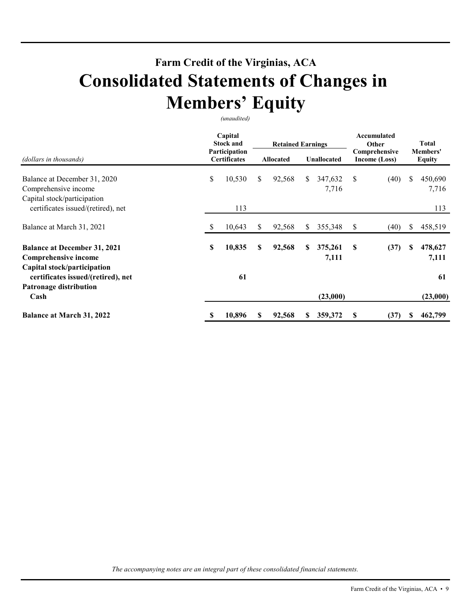# **Farm Credit of the Virginias, ACA Consolidated Statements of Changes in Members' Equity**

*(unaudited)* 

|                                                                                            |    | Capital<br><b>Stock and</b><br>Participation |    | <b>Retained Earnings</b> |    |                  |                                | Accumulated<br>Other |    | Total<br>Members' |  |
|--------------------------------------------------------------------------------------------|----|----------------------------------------------|----|--------------------------|----|------------------|--------------------------------|----------------------|----|-------------------|--|
| (dollars in thousands)                                                                     |    | <b>Certificates</b>                          |    | <b>Allocated</b>         |    | Unallocated      | Comprehensive<br>Income (Loss) |                      |    | <b>Equity</b>     |  |
| Balance at December 31, 2020<br>Comprehensive income<br>Capital stock/participation        | \$ | 10,530                                       | \$ | 92,568                   | \$ | 347,632<br>7,716 | \$                             | (40)                 | \$ | 450,690<br>7,716  |  |
| certificates issued/(retired), net                                                         |    | 113                                          |    |                          |    |                  |                                |                      |    | 113               |  |
| Balance at March 31, 2021                                                                  | S  | 10,643                                       | S  | 92,568                   | S  | 355,348          | \$                             | (40)                 | S  | 458,519           |  |
| <b>Balance at December 31, 2021</b><br>Comprehensive income<br>Capital stock/participation | \$ | 10,835                                       | S  | 92,568                   | S. | 375,261<br>7,111 | S                              | (37)                 | S  | 478,627<br>7,111  |  |
| certificates issued/(retired), net<br>Patronage distribution<br>Cash                       |    | 61                                           |    |                          |    | (23,000)         |                                |                      |    | 61<br>(23,000)    |  |
| <b>Balance at March 31, 2022</b>                                                           | S  | 10,896                                       |    | 92,568                   |    | 359,372          | S                              | (37)                 |    | 462,799           |  |

*The accompanying notes are an integral part of these consolidated financial statements.*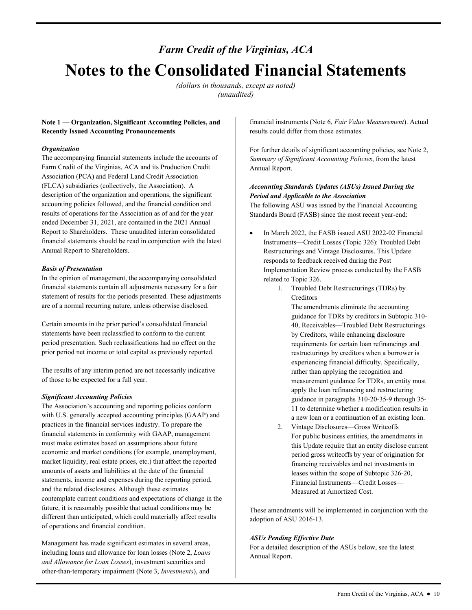# *Farm Credit of the Virginias, ACA*  **Notes to the Consolidated Financial Statements**

*(dollars in thousands, except as noted) (unaudited)* 

# **Note 1 — Organization, Significant Accounting Policies, and Recently Issued Accounting Pronouncements**

## *Organization*

The accompanying financial statements include the accounts of Farm Credit of the Virginias, ACA and its Production Credit Association (PCA) and Federal Land Credit Association (FLCA) subsidiaries (collectively, the Association). A description of the organization and operations, the significant accounting policies followed, and the financial condition and results of operations for the Association as of and for the year ended December 31, 2021, are contained in the 2021 Annual Report to Shareholders. These unaudited interim consolidated financial statements should be read in conjunction with the latest Annual Report to Shareholders.

# *Basis of Presentation*

In the opinion of management, the accompanying consolidated financial statements contain all adjustments necessary for a fair statement of results for the periods presented. These adjustments are of a normal recurring nature, unless otherwise disclosed.

Certain amounts in the prior period's consolidated financial statements have been reclassified to conform to the current period presentation. Such reclassifications had no effect on the prior period net income or total capital as previously reported.

 of those to be expected for a full year. The results of any interim period are not necessarily indicative

# *Significant Accounting Policies*

The Association's accounting and reporting policies conform with U.S. generally accepted accounting principles (GAAP) and practices in the financial services industry. To prepare the financial statements in conformity with GAAP, management must make estimates based on assumptions about future economic and market conditions (for example, unemployment, market liquidity, real estate prices, etc.) that affect the reported amounts of assets and liabilities at the date of the financial statements, income and expenses during the reporting period, and the related disclosures. Although these estimates contemplate current conditions and expectations of change in the future, it is reasonably possible that actual conditions may be different than anticipated, which could materially affect results of operations and financial condition.

Management has made significant estimates in several areas, including loans and allowance for loan losses (Note 2, *Loans and Allowance for Loan Losses*), investment securities and other-than-temporary impairment (Note 3, *Investments*), and

financial instruments (Note 6, *Fair Value Measurement*). Actual results could differ from those estimates.

For further details of significant accounting policies, see Note 2, *Summary of Significant Accounting Policies*, from the latest Annual Report.

# *Accounting Standards Updates (ASUs) Issued During the Period and Applicable to the Association*

 Standards Board (FASB) since the most recent year-end: The following ASU was issued by the Financial Accounting

- In March 2022, the FASB issued ASU 2022-02 Financial Instruments—Credit Losses (Topic 326): Troubled Debt Restructurings and Vintage Disclosures. This Update responds to feedback received during the Post Implementation Review process conducted by the FASB related to Topic 326.
	- 1. Troubled Debt Restructurings (TDRs) by Creditors
		- The amendments eliminate the accounting guidance for TDRs by creditors in Subtopic 310- 40, Receivables—Troubled Debt Restructurings by Creditors, while enhancing disclosure requirements for certain loan refinancings and restructurings by creditors when a borrower is experiencing financial difficulty. Specifically, rather than applying the recognition and measurement guidance for TDRs, an entity must apply the loan refinancing and restructuring guidance in paragraphs 310-20-35-9 through 35- 11 to determine whether a modification results in a new loan or a continuation of an existing loan.
	- 2. Vintage Disclosures—Gross Writeoffs For public business entities, the amendments in this Update require that an entity disclose current period gross writeoffs by year of origination for financing receivables and net investments in leases within the scope of Subtopic 326-20, Financial Instruments—Credit Losses— Measured at Amortized Cost.

These amendments will be implemented in conjunction with the adoption of ASU 2016-13.

# *ASUs Pending Effective Date*

For a detailed description of the ASUs below, see the latest Annual Report.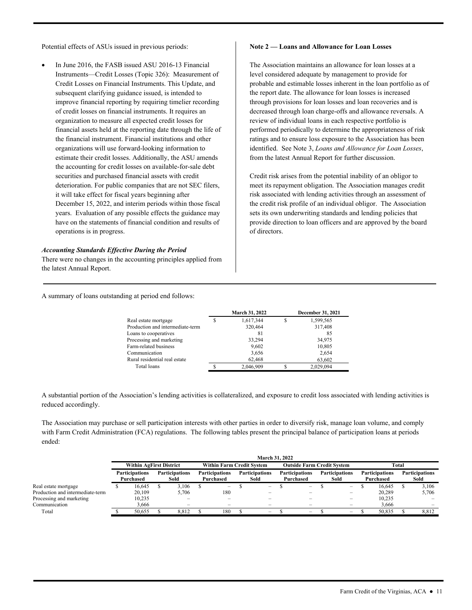Potential effects of ASUs issued in previous periods:

 In June 2016, the FASB issued ASU 2016-13 Financial Instruments—Credit Losses (Topic 326): Measurement of Credit Losses on Financial Instruments. This Update, and subsequent clarifying guidance issued, is intended to improve financial reporting by requiring timelier recording of credit losses on financial instruments. It requires an organization to measure all expected credit losses for financial assets held at the reporting date through the life of the financial instrument. Financial institutions and other organizations will use forward-looking information to estimate their credit losses. Additionally, the ASU amends the accounting for credit losses on available-for-sale debt securities and purchased financial assets with credit deterioration. For public companies that are not SEC filers, it will take effect for fiscal years beginning after December 15, 2022, and interim periods within those fiscal years. Evaluation of any possible effects the guidance may have on the statements of financial condition and results of operations is in progress.

#### *Accounting Standards Effective During the Period*

There were no changes in the accounting principles applied from the latest Annual Report.

#### **Note 2 — Loans and Allowance for Loan Losses**

 identified. See Note 3, *Loans and Allowance for Loan Losses*, The Association maintains an allowance for loan losses at a level considered adequate by management to provide for probable and estimable losses inherent in the loan portfolio as of the report date. The allowance for loan losses is increased through provisions for loan losses and loan recoveries and is decreased through loan charge-offs and allowance reversals. A review of individual loans in each respective portfolio is performed periodically to determine the appropriateness of risk ratings and to ensure loss exposure to the Association has been from the latest Annual Report for further discussion.

Credit risk arises from the potential inability of an obligor to meet its repayment obligation. The Association manages credit risk associated with lending activities through an assessment of the credit risk profile of an individual obligor. The Association sets its own underwriting standards and lending policies that provide direction to loan officers and are approved by the board of directors.

A summary of loans outstanding at period end follows:

|   | March 31, 2022 | <b>December 31, 2021</b> |
|---|----------------|--------------------------|
| S | 1,617,344      | 1,599,565                |
|   | 320,464        | 317,408                  |
|   | 81             | 85                       |
|   | 33,294         | 34,975                   |
|   | 9,602          | 10,805                   |
|   | 3,656          | 2,654                    |
|   | 62,468         | 63,602                   |
|   | 2,046,909      | 2,029,094                |
|   |                |                          |

A substantial portion of the Association's lending activities is collateralized, and exposure to credit loss associated with lending activities is reduced accordingly.

The Association may purchase or sell participation interests with other parties in order to diversify risk, manage loan volume, and comply with Farm Credit Administration (FCA) regulations. The following tables present the principal balance of participation loans at periods ended:

|                                  | March 31, 2022                 |           |                       |                          |                       |                          |                                                                       |                          |  |                          |  |                          |                       |        |                       |       |  |
|----------------------------------|--------------------------------|-----------|-----------------------|--------------------------|-----------------------|--------------------------|-----------------------------------------------------------------------|--------------------------|--|--------------------------|--|--------------------------|-----------------------|--------|-----------------------|-------|--|
|                                  | <b>Within AgFirst District</b> |           |                       |                          |                       |                          | <b>Within Farm Credit System</b><br><b>Outside Farm Credit System</b> |                          |  |                          |  |                          | Total                 |        |                       |       |  |
|                                  | <b>Participations</b>          |           | <b>Participations</b> |                          | <b>Participations</b> |                          |                                                                       | <b>Participations</b>    |  | <b>Participations</b>    |  | <b>Participations</b>    | <b>Participations</b> |        | <b>Participations</b> |       |  |
|                                  |                                | Purchased |                       | Sold                     | Purchased             |                          |                                                                       | Sold                     |  | Purchased                |  | Sold                     | Purchased             |        | Sold                  |       |  |
| Real estate mortgage             |                                | 16.645    |                       | 3.106                    |                       | $\overline{\phantom{m}}$ |                                                                       | $\overline{\phantom{m}}$ |  | $\overline{\phantom{a}}$ |  | $\overline{\phantom{a}}$ |                       | 16.645 |                       | 3,106 |  |
| Production and intermediate-term |                                | 20,109    |                       | 5.706                    |                       | 180                      |                                                                       |                          |  |                          |  |                          |                       | 20.289 |                       | 5,706 |  |
| Processing and marketing         |                                | 10.235    |                       |                          |                       |                          |                                                                       |                          |  |                          |  |                          |                       | 10.235 |                       |       |  |
| Communication                    |                                | 3,666     |                       | $\overline{\phantom{0}}$ |                       | $\overline{\phantom{0}}$ |                                                                       |                          |  |                          |  | $\overline{\phantom{0}}$ |                       | 3,666  |                       |       |  |
| Total                            |                                | 50.655    |                       | 8.812                    |                       | 180                      |                                                                       | $\overline{\phantom{a}}$ |  | $\overline{\phantom{a}}$ |  | $\overline{\phantom{a}}$ |                       | 50.835 |                       | 8.812 |  |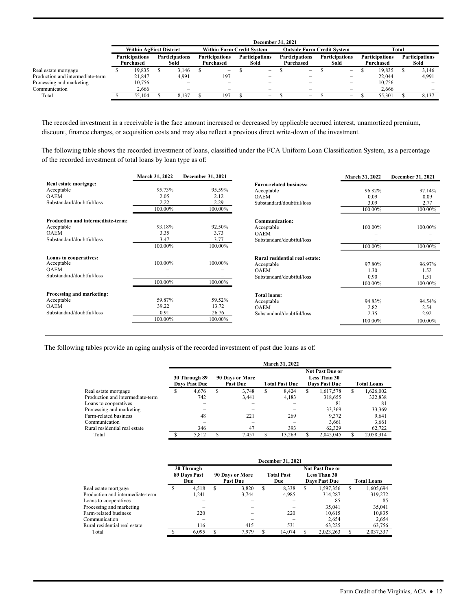|                                                          |                                | <b>December 31, 2021</b>           |                               |                                                      |                                    |                                                      |                               |                               |                                    |                                   |                               |                                                      |                                    |                  |                               |                          |
|----------------------------------------------------------|--------------------------------|------------------------------------|-------------------------------|------------------------------------------------------|------------------------------------|------------------------------------------------------|-------------------------------|-------------------------------|------------------------------------|-----------------------------------|-------------------------------|------------------------------------------------------|------------------------------------|------------------|-------------------------------|--------------------------|
|                                                          | <b>Within AgFirst District</b> |                                    |                               |                                                      |                                    | <b>Within Farm Credit System</b>                     |                               |                               |                                    | <b>Outside Farm Credit System</b> |                               | Total                                                |                                    |                  |                               |                          |
|                                                          |                                | <b>Participations</b><br>Purchased | <b>Participations</b><br>Sold |                                                      | <b>Participations</b><br>Purchased |                                                      | <b>Participations</b><br>Sold |                               | <b>Participations</b><br>Purchased |                                   | <b>Participations</b><br>Sold |                                                      | <b>Participations</b><br>Purchased |                  | <b>Participations</b><br>Sold |                          |
| Real estate mortgage<br>Production and intermediate-term |                                | 19.835<br>21,847                   |                               | 3.146<br>4.991                                       |                                    | $\overline{\phantom{a}}$<br>197                      |                               | $\overline{\phantom{a}}$      |                                    | $\overline{\phantom{a}}$          |                               | $\qquad \qquad$                                      |                                    | 19.835<br>22,044 |                               | 3.146<br>4,991           |
| Processing and marketing<br>Communication                |                                | 10,756<br>2.666                    |                               | $\overline{\phantom{a}}$<br>$\overline{\phantom{a}}$ |                                    | $\overline{\phantom{0}}$<br>$\overline{\phantom{0}}$ |                               | -<br>$\overline{\phantom{0}}$ |                                    | -<br>$\overline{\phantom{m}}$     |                               | $\overline{\phantom{0}}$<br>$\overline{\phantom{0}}$ |                                    | 10.756<br>2.666  |                               | $\overline{\phantom{m}}$ |
| Total                                                    |                                | 55,104                             |                               | 8.137                                                |                                    | 197                                                  |                               |                               |                                    | $\overline{\phantom{a}}$          |                               | $\overline{\phantom{a}}$                             |                                    | 55,301           |                               | 8.137                    |

The recorded investment in a receivable is the face amount increased or decreased by applicable accrued interest, unamortized premium, discount, finance charges, or acquisition costs and may also reflect a previous direct write-down of the investment.

 of the recorded investment of total loans by loan type as of: The following table shows the recorded investment of loans, classified under the FCA Uniform Loan Classification System, as a percentage

|                                   | <b>March 31, 2022</b> | December 31, 2021 |                                | March 31, 2022 | December 31, 2021 |
|-----------------------------------|-----------------------|-------------------|--------------------------------|----------------|-------------------|
| Real estate mortgage:             |                       |                   | <b>Farm-related business:</b>  |                |                   |
| Acceptable                        | 95.73%                | 95.59%            | Acceptable                     | 96.82%         | 97.14%            |
| <b>OAEM</b>                       | 2.05                  | 2.12              | <b>OAEM</b>                    | 0.09           | 0.09              |
| Substandard/doubtful/loss         | 2.22                  | 2.29              | Substandard/doubtful/loss      | 3.09           | 2.77              |
|                                   | 100.00%               | 100.00%           |                                | 100.00%        | 100.00%           |
| Production and intermediate-term: |                       |                   | <b>Communication:</b>          |                |                   |
| Acceptable                        | 93.18%                | 92.50%            | Acceptable                     | 100.00%        | 100.00%           |
| <b>OAEM</b>                       | 3.35                  | 3.73              | <b>OAEM</b>                    |                |                   |
| Substandard/doubtful/loss         | 3.47                  | 3.77              | Substandard/doubtful/loss      |                |                   |
|                                   | 100.00%               | 100.00%           |                                | 100.00%        | 100.00%           |
| <b>Loans to cooperatives:</b>     |                       |                   | Rural residential real estate: |                |                   |
| Acceptable                        | 100.00%               | 100.00%           | Acceptable                     | 97.80%         | 96.97%            |
| <b>OAEM</b>                       |                       |                   | <b>OAEM</b>                    | 1.30           | 1.52              |
| Substandard/doubtful/loss         |                       |                   | Substandard/doubtful/loss      | 0.90           | 1.51              |
|                                   | 100.00%               | 100.00%           |                                | 100.00%        | 100.00%           |
| Processing and marketing:         |                       |                   | <b>Total loans:</b>            |                |                   |
| Acceptable                        | 59.87%                | 59.52%            | Acceptable                     | 94.83%         | 94.54%            |
| <b>OAEM</b>                       | 39.22                 | 13.72             | <b>OAEM</b>                    | 2.82           | 2.54              |
| Substandard/doubtful/loss         | 0.91                  | 26.76             | Substandard/doubtful/loss      | 2.35           | 2.92              |
|                                   | 100.00%               | 100.00%           |                                | 100.00%        | 100.00%           |

The following tables provide an aging analysis of the recorded investment of past due loans as of:

|                                  |   |                                       |   |                                    | March 31, 2022        |   |                                                                |                    |           |  |
|----------------------------------|---|---------------------------------------|---|------------------------------------|-----------------------|---|----------------------------------------------------------------|--------------------|-----------|--|
|                                  |   | 30 Through 89<br><b>Days Past Due</b> |   | 90 Days or More<br><b>Past Due</b> | <b>Total Past Due</b> |   | <b>Not Past Due or</b><br>Less Than 30<br><b>Days Past Due</b> | <b>Total Loans</b> |           |  |
| Real estate mortgage             | S | 4.676                                 | S | 3.748                              | \$<br>8.424           | S | 1,617,578                                                      | \$.                | 1,626,002 |  |
| Production and intermediate-term |   | 742                                   |   | 3.441                              | 4.183                 |   | 318.655                                                        |                    | 322.838   |  |
| Loans to cooperatives            |   |                                       |   |                                    |                       |   | 81                                                             |                    | 81        |  |
| Processing and marketing         |   |                                       |   |                                    |                       |   | 33.369                                                         |                    | 33,369    |  |
| Farm-related business            |   | 48                                    |   | 221                                | 269                   |   | 9.372                                                          |                    | 9.641     |  |
| Communication                    |   |                                       |   |                                    |                       |   | 3.661                                                          |                    | 3.661     |  |
| Rural residential real estate    |   | 346                                   |   | 47                                 | 393                   |   | 62,329                                                         |                    | 62,722    |  |
| Total                            |   | 5.812                                 |   | 7.457                              | 13.269                | S | 2.045.045                                                      |                    | 2,058,314 |  |

|                                  |   |                                   |                                    |       |   | <b>December 31, 2021</b>                                                                          |   |           |                    |           |  |
|----------------------------------|---|-----------------------------------|------------------------------------|-------|---|---------------------------------------------------------------------------------------------------|---|-----------|--------------------|-----------|--|
|                                  |   | 30 Through<br>89 Days Past<br>Due | 90 Days or More<br><b>Past Due</b> |       |   | <b>Not Past Due or</b><br><b>Total Past</b><br><b>Less Than 30</b><br><b>Days Past Due</b><br>Due |   |           | <b>Total Loans</b> |           |  |
| Real estate mortgage             | S | 4.518                             | S                                  | 3.820 | S | 8,338                                                                                             | S | 1,597,356 | S                  | 1,605,694 |  |
| Production and intermediate-term |   | 1.241                             |                                    | 3.744 |   | 4,985                                                                                             |   | 314.287   |                    | 319,272   |  |
| Loans to cooperatives            |   |                                   |                                    |       |   |                                                                                                   |   | 85        |                    | 85        |  |
| Processing and marketing         |   |                                   |                                    |       |   |                                                                                                   |   | 35,041    |                    | 35,041    |  |
| Farm-related business            |   | 220                               |                                    |       |   | 220                                                                                               |   | 10.615    |                    | 10.835    |  |
| Communication                    |   |                                   |                                    |       |   |                                                                                                   |   | 2.654     |                    | 2.654     |  |
| Rural residential real estate    |   | 116                               |                                    | 415   |   | 531                                                                                               |   | 63.225    |                    | 63,756    |  |
| Total                            |   | 6.095                             |                                    | 7.979 |   | 14.074                                                                                            |   | 2.023.263 |                    | 2.037.337 |  |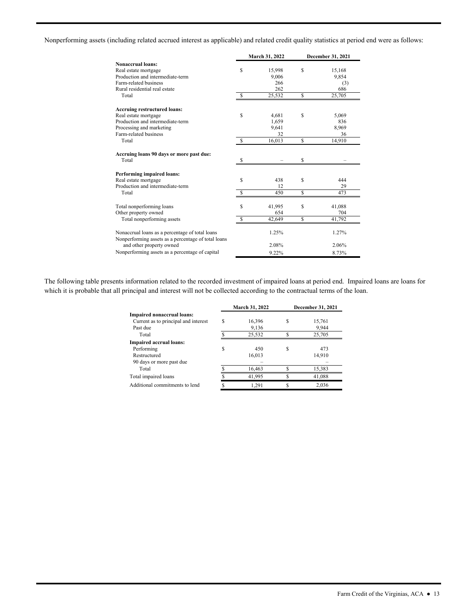Nonperforming assets (including related accrued interest as applicable) and related credit quality statistics at period end were as follows:

|                                                                                                        |              | March 31, 2022 | December 31, 2021 |
|--------------------------------------------------------------------------------------------------------|--------------|----------------|-------------------|
| Nonaccrual loans:                                                                                      |              |                |                   |
| Real estate mortgage                                                                                   | S            | 15,998         | \$<br>15,168      |
| Production and intermediate-term                                                                       |              | 9.006          | 9,854             |
| Farm-related business                                                                                  |              | 266            | (3)               |
| Rural residential real estate                                                                          |              | 262            | 686               |
| Total                                                                                                  | $\mathbb{S}$ | 25,532         | \$<br>25,705      |
| <b>Accruing restructured loans:</b>                                                                    |              |                |                   |
| Real estate mortgage                                                                                   | S            | 4,681          | \$<br>5,069       |
| Production and intermediate-term                                                                       |              | 1,659          | 836               |
| Processing and marketing                                                                               |              | 9,641          | 8,969             |
| Farm-related business                                                                                  |              | 32             | 36                |
| Total                                                                                                  | -S           | 16,013         | \$<br>14.910      |
| Accruing loans 90 days or more past due:<br>Total                                                      |              |                |                   |
|                                                                                                        | \$.          |                | \$                |
| <b>Performing impaired loans:</b>                                                                      |              |                |                   |
| Real estate mortgage                                                                                   | S            | 438            | \$<br>444         |
| Production and intermediate-term                                                                       |              | 12             | 29                |
| Total                                                                                                  | \$           | 450            | \$<br>473         |
| Total nonperforming loans                                                                              | $\mathbf S$  | 41,995         | \$<br>41,088      |
| Other property owned                                                                                   |              | 654            | 704               |
| Total nonperforming assets                                                                             | S            | 42,649         | \$<br>41,792      |
| Nonaccrual loans as a percentage of total loans<br>Nonperforming assets as a percentage of total loans |              | 1.25%          | 1.27%             |
| and other property owned                                                                               |              | 2.08%          | 2.06%             |
| Nonperforming assets as a percentage of capital                                                        |              | 9.22%          | 8.73%             |

The following table presents information related to the recorded investment of impaired loans at period end. Impaired loans are loans for which it is probable that all principal and interest will not be collected according to the contractual terms of the loan.

|                                      |   | March 31, 2022 | December 31, 2021 |
|--------------------------------------|---|----------------|-------------------|
| Impaired nonaccrual loans:           |   |                |                   |
| Current as to principal and interest | S | 16,396         | 15,761            |
| Past due                             |   | 9,136          | 9,944             |
| Total                                |   | 25,532         | 25,705            |
| <b>Impaired accrual loans:</b>       |   |                |                   |
| Performing                           | S | 450            | 473               |
| Restructured                         |   | 16,013         | 14.910            |
| 90 days or more past due             |   |                |                   |
| Total                                |   | 16,463         | 15,383            |
| Total impaired loans                 |   | 41,995         | 41,088            |
| Additional commitments to lend       |   | 1.291          | 2.036             |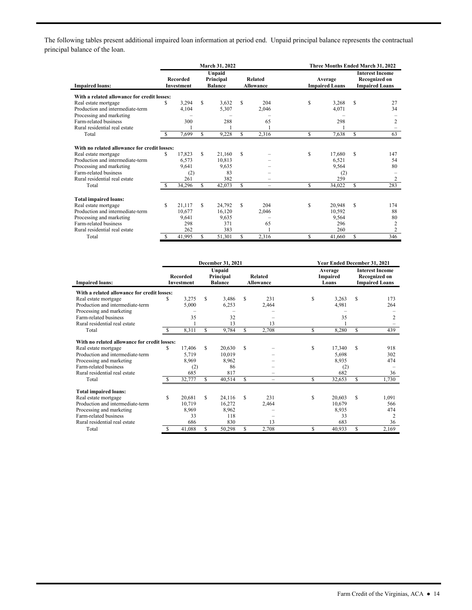The following tables present additional impaired loan information at period end. Unpaid principal balance represents the contractual principal balance of the loan.

|                                              |     |                               |     | March 31, 2022                        |     |                                    | Three Months Ended March 31, 2022 |                                  |    |                                                                         |  |  |
|----------------------------------------------|-----|-------------------------------|-----|---------------------------------------|-----|------------------------------------|-----------------------------------|----------------------------------|----|-------------------------------------------------------------------------|--|--|
| <b>Impaired loans:</b>                       |     | <b>Recorded</b><br>Investment |     | Unpaid<br>Principal<br><b>Balance</b> |     | <b>Related</b><br><b>Allowance</b> |                                   | Average<br><b>Impaired Loans</b> |    | <b>Interest Income</b><br><b>Recognized on</b><br><b>Impaired Loans</b> |  |  |
| With a related allowance for credit losses:  |     |                               |     |                                       |     |                                    |                                   |                                  |    |                                                                         |  |  |
| Real estate mortgage                         | S   | 3.294                         | \$. | 3,632                                 | \$. | 204                                | \$                                | 3,268                            | S  | 27                                                                      |  |  |
| Production and intermediate-term             |     | 4,104                         |     | 5,307                                 |     | 2.046                              |                                   | 4.071                            |    | 34                                                                      |  |  |
| Processing and marketing                     |     |                               |     |                                       |     |                                    |                                   |                                  |    |                                                                         |  |  |
| Farm-related business                        |     | 300                           |     | 288                                   |     | 65                                 |                                   | 298                              |    | $\overline{c}$                                                          |  |  |
| Rural residential real estate                |     |                               |     |                                       |     |                                    |                                   |                                  |    |                                                                         |  |  |
| Total                                        |     | 7.699                         | S   | 9,228                                 | S   | 2.316                              | \$                                | 7,638                            | \$ | 63                                                                      |  |  |
| With no related allowance for credit losses: |     |                               |     |                                       |     |                                    |                                   |                                  |    |                                                                         |  |  |
| Real estate mortgage                         | S.  | 17.823                        | S   | 21.160                                | S   |                                    | S                                 | 17.680                           | S  | 147                                                                     |  |  |
| Production and intermediate-term             |     | 6.573                         |     | 10,813                                |     |                                    |                                   | 6,521                            |    | 54                                                                      |  |  |
| Processing and marketing                     |     | 9.641                         |     | 9.635                                 |     |                                    |                                   | 9,564                            |    | 80                                                                      |  |  |
| Farm-related business                        |     | (2)                           |     | 83                                    |     |                                    |                                   | (2)                              |    |                                                                         |  |  |
| Rural residential real estate                |     | 261                           |     | 382                                   |     |                                    |                                   | 259                              |    | 2                                                                       |  |  |
| Total                                        | S.  | 34,296                        | S   | 42,073                                | S   | $=$                                | \$                                | 34,022                           | \$ | 283                                                                     |  |  |
| <b>Total impaired loans:</b>                 |     |                               |     |                                       |     |                                    |                                   |                                  |    |                                                                         |  |  |
| Real estate mortgage                         | \$. | 21.117                        | \$. | 24,792                                | \$. | 204                                | \$                                | 20,948                           | S  | 174                                                                     |  |  |
| Production and intermediate-term             |     | 10,677                        |     | 16,120                                |     | 2,046                              |                                   | 10,592                           |    | 88                                                                      |  |  |
| Processing and marketing                     |     | 9.641                         |     | 9.635                                 |     |                                    |                                   | 9,564                            |    | 80                                                                      |  |  |
| Farm-related business                        |     | 298                           |     | 371                                   |     | 65                                 |                                   | 296                              |    | $\overline{2}$                                                          |  |  |
| Rural residential real estate                |     | 262                           |     | 383                                   |     |                                    |                                   | 260                              |    | $\overline{c}$                                                          |  |  |
| Total                                        | £.  | 41,995                        | S   | 51,301                                | S.  | 2.316                              | \$                                | 41.660                           | S  | 346                                                                     |  |  |

|                                              | December 31, 2021 |                                      |     |                                       |     |                                    |                              | Year Ended December 31, 2021 |                                                                         |                |  |  |
|----------------------------------------------|-------------------|--------------------------------------|-----|---------------------------------------|-----|------------------------------------|------------------------------|------------------------------|-------------------------------------------------------------------------|----------------|--|--|
| <b>Impaired loans:</b>                       |                   | <b>Recorded</b><br><b>Investment</b> |     | Unpaid<br>Principal<br><b>Balance</b> |     | <b>Related</b><br><b>Allowance</b> | Average<br>Impaired<br>Loans |                              | <b>Interest Income</b><br><b>Recognized on</b><br><b>Impaired Loans</b> |                |  |  |
| With a related allowance for credit losses:  |                   |                                      |     |                                       |     |                                    |                              |                              |                                                                         |                |  |  |
| Real estate mortgage                         | \$                | 3,275                                | \$. | 3,486                                 | S   | 231                                | S                            | 3,263                        | \$.                                                                     | 173            |  |  |
| Production and intermediate-term             |                   | 5,000                                |     | 6,253                                 |     | 2,464                              |                              | 4,981                        |                                                                         | 264            |  |  |
| Processing and marketing                     |                   |                                      |     |                                       |     |                                    |                              |                              |                                                                         |                |  |  |
| Farm-related business                        |                   | 35                                   |     | 32                                    |     |                                    |                              | 35                           |                                                                         | $\overline{c}$ |  |  |
| Rural residential real estate                |                   |                                      |     | 13                                    |     | 13                                 |                              |                              |                                                                         |                |  |  |
| Total                                        | -S                | 8,311                                | S   | 9,784                                 | \$  | 2,708                              | S                            | 8,280                        | \$                                                                      | 439            |  |  |
| With no related allowance for credit losses: |                   |                                      |     |                                       |     |                                    |                              |                              |                                                                         |                |  |  |
| Real estate mortgage                         | \$                | 17,406                               | \$  | 20,630                                | S   |                                    | S                            | 17,340                       | S                                                                       | 918            |  |  |
| Production and intermediate-term             |                   | 5,719                                |     | 10,019                                |     |                                    |                              | 5,698                        |                                                                         | 302            |  |  |
| Processing and marketing                     |                   | 8,969                                |     | 8.962                                 |     |                                    |                              | 8,935                        |                                                                         | 474            |  |  |
| Farm-related business                        |                   | (2)                                  |     | 86                                    |     |                                    |                              | (2)                          |                                                                         |                |  |  |
| Rural residential real estate                |                   | 685                                  |     | 817                                   |     |                                    |                              | 682                          |                                                                         | 36             |  |  |
| Total                                        |                   | 32,777                               | S.  | 40,514                                | \$. | $\equiv$                           | \$                           | 32,653                       | \$                                                                      | 1,730          |  |  |
| <b>Total impaired loans:</b>                 |                   |                                      |     |                                       |     |                                    |                              |                              |                                                                         |                |  |  |
| Real estate mortgage                         | \$                | 20,681                               | \$. | 24.116                                | S   | 231                                | \$                           | 20,603                       | \$                                                                      | 1,091          |  |  |
| Production and intermediate-term             |                   | 10,719                               |     | 16,272                                |     | 2,464                              |                              | 10,679                       |                                                                         | 566            |  |  |
| Processing and marketing                     |                   | 8,969                                |     | 8,962                                 |     |                                    |                              | 8,935                        |                                                                         | 474            |  |  |
| Farm-related business                        |                   | 33                                   |     | 118                                   |     |                                    |                              | 33                           |                                                                         | 2              |  |  |
| Rural residential real estate                |                   | 686                                  |     | 830                                   |     | 13                                 |                              | 683                          |                                                                         | 36             |  |  |
| Total                                        | £.                | 41,088                               | S   | 50,298                                | \$  | 2,708                              | S                            | 40,933                       | \$                                                                      | 2,169          |  |  |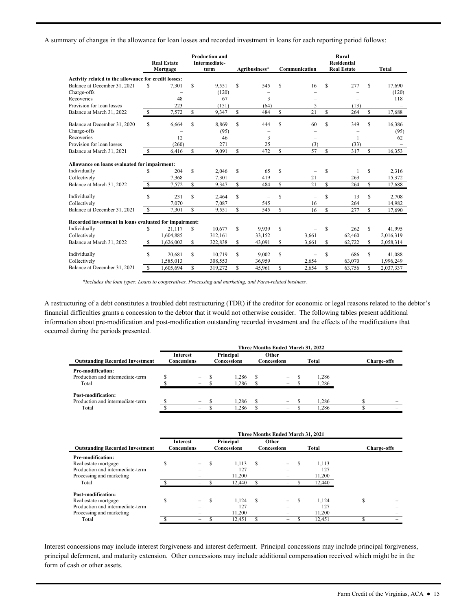A summary of changes in the allowance for loan losses and recorded investment in loans for each reporting period follows:

|                                                        |     | <b>Real Estate</b><br>Mortgage | <b>Production and</b><br>Intermediate-<br>term |         | Agribusiness* |        | Communication |                          |    | Rural<br><b>Residential</b><br><b>Real Estate</b> |   | Total     |
|--------------------------------------------------------|-----|--------------------------------|------------------------------------------------|---------|---------------|--------|---------------|--------------------------|----|---------------------------------------------------|---|-----------|
| Activity related to the allowance for credit losses:   |     |                                |                                                |         |               |        |               |                          |    |                                                   |   |           |
| Balance at December 31, 2021                           | S   | 7,301                          | S                                              | 9.551   | S             | 545    | S             | 16                       | S  | 277                                               | S | 17.690    |
| Charge-offs                                            |     |                                |                                                | (120)   |               |        |               |                          |    |                                                   |   | (120)     |
| Recoveries                                             |     | 48                             |                                                | 67      |               | 3      |               |                          |    |                                                   |   | 118       |
| Provision for loan losses                              |     | 223                            |                                                | (151)   |               | (64)   |               | 5                        |    | (13)                                              |   |           |
| Balance at March 31, 2022                              | S   | 7.572                          | S                                              | 9.347   | S             | 484    | S             | 21                       | S  | 264                                               | S | 17.688    |
| Balance at December 31, 2020                           | \$. | 6.664                          | S                                              | 8.869   | \$            | 444    | S             | 60                       | S  | 349                                               | S | 16,386    |
| Charge-offs                                            |     |                                |                                                | (95)    |               |        |               |                          |    |                                                   |   | (95)      |
| Recoveries                                             |     | 12                             |                                                | 46      |               | 3      |               |                          |    | $\mathbf{1}$                                      |   | 62        |
| Provision for loan losses                              |     | (260)                          |                                                | 271     |               | 25     |               | (3)                      |    | (33)                                              |   |           |
| Balance at March 31, 2021                              | \$  | 6.416                          | S                                              | 9.091   | \$            | 472    | S             | 57                       | S  | 317                                               | S | 16.353    |
| Allowance on loans evaluated for impairment:           |     |                                |                                                |         |               |        |               |                          |    |                                                   |   |           |
| Individually                                           | S   | 204                            | S                                              | 2.046   | S             | 65     | S             | -                        | S  |                                                   | S | 2,316     |
| Collectively                                           |     | 7.368                          |                                                | 7.301   |               | 419    |               | 21                       |    | 263                                               |   | 15.372    |
| Balance at March 31, 2022                              | S   | 7,572                          | S                                              | 9,347   | \$            | 484    | \$            | 21                       | \$ | 264                                               | S | 17,688    |
| Individually                                           | S   | 231                            | S                                              | 2,464   | \$            |        | \$.           | $\overline{\phantom{0}}$ | S  | 13                                                | S | 2,708     |
| Collectively                                           |     | 7,070                          |                                                | 7,087   |               | 545    |               | 16                       |    | 264                                               |   | 14.982    |
| Balance at December 31, 2021                           | \$  | 7,301                          | S                                              | 9,551   | \$            | 545    | S             | 16                       | S  | 277                                               | S | 17,690    |
| Recorded investment in loans evaluated for impairment: |     |                                |                                                |         |               |        |               |                          |    |                                                   |   |           |
| Individually                                           | S   | 21.117                         | S                                              | 10,677  | \$            | 9,939  | S             |                          | S  | 262                                               | S | 41,995    |
| Collectively                                           |     | 1,604,885                      |                                                | 312.161 |               | 33.152 |               | 3,661                    |    | 62,460                                            |   | 2,016,319 |
| Balance at March 31, 2022                              | \$. | 1,626,002                      | S                                              | 322.838 | \$            | 43.091 | $\mathbb{S}$  | 3.661                    | S  | 62.722                                            | S | 2,058,314 |
| Individually                                           | S   | 20,681                         | S                                              | 10,719  | \$            | 9,002  | S             |                          | S  | 686                                               | S | 41,088    |
| Collectively                                           |     | 1,585,013                      |                                                | 308,553 |               | 36,959 |               | 2.654                    |    | 63.070                                            |   | 1.996.249 |
| Balance at December 31, 2021                           | S   | 1,605,694                      | S                                              | 319,272 | \$            | 45,961 | \$            | 2.654                    | S  | 63,756                                            | S | 2,037,337 |

*\*Includes the loan types: Loans to cooperatives, Processing and marketing, and Farm-related business.* 

A restructuring of a debt constitutes a troubled debt restructuring (TDR) if the creditor for economic or legal reasons related to the debtor's financial difficulties grants a concession to the debtor that it would not otherwise consider. The following tables present additional information about pre-modification and post-modification outstanding recorded investment and the effects of the modifications that occurred during the periods presented.

|                                                                | Three Months Ended March 31, 2022 |                                                      |  |                          |  |                                             |  |               |                    |  |  |  |
|----------------------------------------------------------------|-----------------------------------|------------------------------------------------------|--|--------------------------|--|---------------------------------------------|--|---------------|--------------------|--|--|--|
| <b>Outstanding Recorded Investment</b>                         |                                   | Interest<br>Concessions                              |  | Principal<br>Concessions |  | Other<br>Concessions                        |  | Total         | <b>Charge-offs</b> |  |  |  |
| Pre-modification:<br>Production and intermediate-term<br>Total |                                   | $\overline{\phantom{m}}$<br>$\overline{\phantom{0}}$ |  | 1.286<br>1.286           |  | $\overline{\phantom{m}}$<br>$\qquad \qquad$ |  | .286<br>1.286 |                    |  |  |  |
| Post-modification:<br>Production and intermediate-term         |                                   | $\overline{\phantom{a}}$                             |  | 1.286                    |  | $\equiv$                                    |  | 1.286         |                    |  |  |  |
| Total                                                          |                                   | -                                                    |  | .286                     |  | -                                           |  | 1.286         |                    |  |  |  |

|                                        | Three Months Ended March 31, 2021     |                          |                                 |        |                             |                          |       |        |                    |  |  |
|----------------------------------------|---------------------------------------|--------------------------|---------------------------------|--------|-----------------------------|--------------------------|-------|--------|--------------------|--|--|
| <b>Outstanding Recorded Investment</b> | <b>Interest</b><br><b>Concessions</b> |                          | Principal<br><b>Concessions</b> |        | Other<br><b>Concessions</b> |                          | Total |        | <b>Charge-offs</b> |  |  |
| Pre-modification:                      |                                       |                          |                                 |        |                             |                          |       |        |                    |  |  |
| Real estate mortgage                   | \$                                    | $\overline{\phantom{a}}$ | S                               | 1.113  | £.                          | $\overline{\phantom{0}}$ | S     | 1,113  |                    |  |  |
| Production and intermediate-term       |                                       |                          |                                 | 127    |                             |                          |       | 127    |                    |  |  |
| Processing and marketing               |                                       |                          |                                 | 11.200 |                             |                          |       | 11,200 |                    |  |  |
| Total                                  |                                       |                          |                                 | 12,440 |                             |                          |       | 12,440 |                    |  |  |
| Post-modification:                     |                                       |                          |                                 |        |                             |                          |       |        |                    |  |  |
| Real estate mortgage                   | S                                     |                          | \$.                             | 1.124  | <b>S</b>                    | $\overline{\phantom{0}}$ |       | 1.124  | S                  |  |  |
| Production and intermediate-term       |                                       |                          |                                 | 127    |                             |                          |       | 127    |                    |  |  |
| Processing and marketing               |                                       |                          |                                 | 11,200 |                             |                          |       | 11,200 |                    |  |  |
| Total                                  |                                       |                          |                                 | 12.451 |                             |                          |       | 12.451 |                    |  |  |

 Interest concessions may include interest forgiveness and interest deferment. Principal concessions may include principal forgiveness, principal deferment, and maturity extension. Other concessions may include additional compensation received which might be in the form of cash or other assets.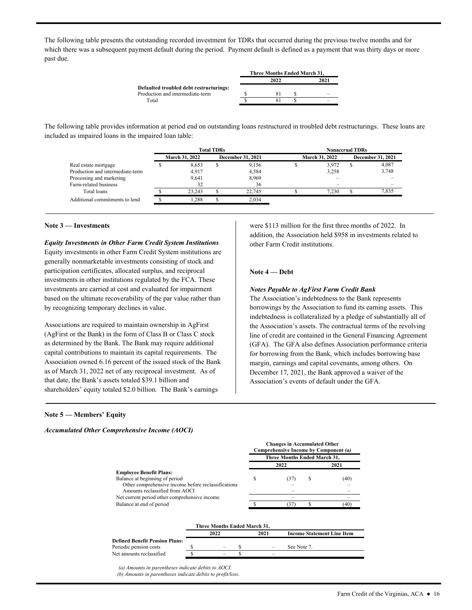The following table presents the outstanding recorded investment for TDRs that occurred during the previous twelve months and for which there was a subsequent payment default during the period. Payment default is defined as a payment that was thirty days or more past due.

|                                         | Three Months Ended March 31, |      |
|-----------------------------------------|------------------------------|------|
|                                         | 2022                         | 2021 |
| Defaulted troubled debt restructurings: |                              |      |
| Production and intermediate-term        |                              |      |
| Total                                   |                              |      |

 included as impaired loans in the impaired loan table: The following table provides information at period end on outstanding loans restructured in troubled debt restructurings. These loans are

|                                  |                       | <b>Total TDRs</b> |                          | <b>Nonaccrual TDRs</b> |                       |  |                          |  |  |  |
|----------------------------------|-----------------------|-------------------|--------------------------|------------------------|-----------------------|--|--------------------------|--|--|--|
|                                  | <b>March 31, 2022</b> |                   | <b>December 31, 2021</b> |                        | <b>March 31, 2022</b> |  | <b>December 31, 2021</b> |  |  |  |
| Real estate mortgage             | 8.653                 | ъ                 | 9.156                    |                        | 3,972                 |  | 4,087                    |  |  |  |
| Production and intermediate-term | 4.917                 |                   | 4,584                    |                        | 3.258                 |  | 3,748                    |  |  |  |
| Processing and marketing         | 9.641                 |                   | 8.969                    |                        |                       |  |                          |  |  |  |
| Farm-related business            | 32                    |                   | 36                       |                        |                       |  |                          |  |  |  |
| Total loans                      | 23.243                |                   | 22,745                   |                        | 7.230                 |  | 7.835                    |  |  |  |
| Additional commitments to lend   | 1.288                 |                   | 2,034                    |                        |                       |  |                          |  |  |  |

#### **Note 3 — Investments**

# *Equity Investments in Other Farm Credit System Institutions*

Equity investments in other Farm Credit System institutions are generally nonmarketable investments consisting of stock and participation certificates, allocated surplus, and reciprocal investments in other institutions regulated by the FCA. These investments are carried at cost and evaluated for impairment based on the ultimate recoverability of the par value rather than by recognizing temporary declines in value.

 capital contributions to maintain its capital requirements. The shareholders' equity totaled \$2.0 billion. The Bank's earnings Associations are required to maintain ownership in AgFirst (AgFirst or the Bank) in the form of Class B or Class C stock as determined by the Bank. The Bank may require additional Association owned 6.16 percent of the issued stock of the Bank as of March 31, 2022 net of any reciprocal investment. As of that date, the Bank's assets totaled \$39.1 billion and

were \$113 million for the first three months of 2022. In addition, the Association held \$958 in investments related to other Farm Credit institutions.

#### **Note 4 — Debt**

# *Notes Payable to AgFirst Farm Credit Bank*

The Association's indebtedness to the Bank represents borrowings by the Association to fund its earning assets. This indebtedness is collateralized by a pledge of substantially all of the Association's assets. The contractual terms of the revolving line of credit are contained in the General Financing Agreement (GFA). The GFA also defines Association performance criteria for borrowing from the Bank, which includes borrowing base margin, earnings and capital covenants, among others. On December 17, 2021, the Bank approved a waiver of the Association's events of default under the GFA.

#### **Note 5 — Members' Equity**

*Accumulated Other Comprehensive Income (AOCI)* 

|                                                     |                              | <b>Changes in Accumulated Other</b><br>Comprehensive Income by Component (a) |   |      |  |  |
|-----------------------------------------------------|------------------------------|------------------------------------------------------------------------------|---|------|--|--|
|                                                     | Three Months Ended March 31, |                                                                              |   |      |  |  |
|                                                     |                              | 2022                                                                         |   | 2021 |  |  |
| <b>Employee Benefit Plans:</b>                      |                              |                                                                              |   |      |  |  |
| Balance at beginning of period                      | S                            | (37)                                                                         | S | (40) |  |  |
| Other comprehensive income before reclassifications |                              |                                                                              |   |      |  |  |
| Amounts reclassified from AOCI                      |                              |                                                                              |   |      |  |  |
| Net current period other comprehensive income       |                              |                                                                              |   |      |  |  |
| Balance at end of period                            |                              | 37                                                                           |   | 40   |  |  |

|                                       | Three Months Ended March 31. |                   |                                   |
|---------------------------------------|------------------------------|-------------------|-----------------------------------|
|                                       | 2022                         | 2021              | <b>Income Statement Line Item</b> |
| <b>Defined Benefit Pension Plans:</b> |                              |                   |                                   |
| Periodic pension costs                | -                            | $\qquad \qquad -$ | See Note 7.                       |
| Net amounts reclassified              | -                            |                   |                                   |

 *(a) Amounts in parentheses indicate debits to AOCI.* 

*(b) Amounts in parentheses indicate debits to profit/loss*.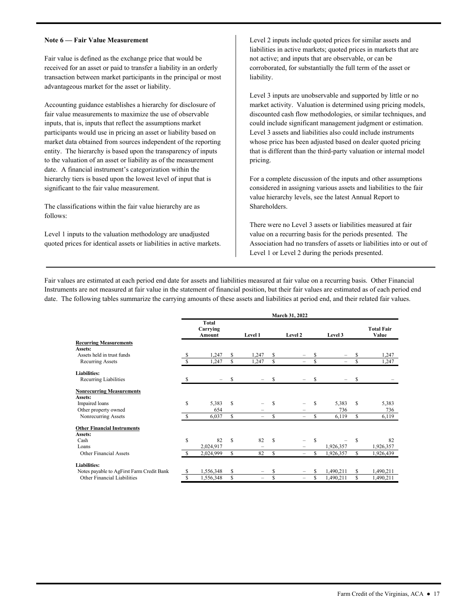#### **Note 6 — Fair Value Measurement**

Fair value is defined as the exchange price that would be received for an asset or paid to transfer a liability in an orderly transaction between market participants in the principal or most advantageous market for the asset or liability.

Accounting guidance establishes a hierarchy for disclosure of fair value measurements to maximize the use of observable inputs, that is, inputs that reflect the assumptions market participants would use in pricing an asset or liability based on market data obtained from sources independent of the reporting entity. The hierarchy is based upon the transparency of inputs to the valuation of an asset or liability as of the measurement date. A financial instrument's categorization within the hierarchy tiers is based upon the lowest level of input that is significant to the fair value measurement.

The classifications within the fair value hierarchy are as follows:

Level 1 inputs to the valuation methodology are unadjusted quoted prices for identical assets or liabilities in active markets.

liability. Level 2 inputs include quoted prices for similar assets and liabilities in active markets; quoted prices in markets that are not active; and inputs that are observable, or can be corroborated, for substantially the full term of the asset or

liability.<br>Level 3 inputs are unobservable and supported by little or no market activity. Valuation is determined using pricing models, discounted cash flow methodologies, or similar techniques, and could include significant management judgment or estimation. Level 3 assets and liabilities also could include instruments whose price has been adjusted based on dealer quoted pricing that is different than the third-party valuation or internal model pricing.<br>For a complete discussion of the inputs and other assumptions

considered in assigning various assets and liabilities to the fair value hierarchy levels, see the latest Annual Report to Shareholders.

There were no Level 3 assets or liabilities measured at fair value on a recurring basis for the periods presented. The Association had no transfers of assets or liabilities into or out of Level 1 or Level 2 during the periods presented.

 date. The following tables summarize the carrying amounts of these assets and liabilities at period end, and their related fair values. Fair values are estimated at each period end date for assets and liabilities measured at fair value on a recurring basis. Other Financial Instruments are not measured at fair value in the statement of financial position, but their fair values are estimated as of each period end

|                                           |               |                                    |    |         |    | March 31, 2022           |               |                          |    |                            |
|-------------------------------------------|---------------|------------------------------------|----|---------|----|--------------------------|---------------|--------------------------|----|----------------------------|
|                                           |               | <b>Total</b><br>Carrying<br>Amount |    | Level 1 |    | Level 2                  |               | Level 3                  |    | <b>Total Fair</b><br>Value |
| <b>Recurring Measurements</b>             |               |                                    |    |         |    |                          |               |                          |    |                            |
| Assets:                                   |               |                                    |    |         |    |                          |               |                          |    |                            |
| Assets held in trust funds                | \$            | 1,247                              | \$ | 1,247   | \$ | -                        | S             | -                        | S  | 1,247                      |
| Recurring Assets                          | <sup>\$</sup> | 1,247                              | \$ | 1,247   | \$ | $\overline{\phantom{0}}$ | \$            | $\overline{\phantom{0}}$ | \$ | 1,247                      |
| <b>Liabilities:</b>                       |               |                                    |    |         |    |                          |               |                          |    |                            |
| Recurring Liabilities                     | S             |                                    | \$ |         | S  |                          | \$            |                          | \$ |                            |
| <b>Nonrecurring Measurements</b>          |               |                                    |    |         |    |                          |               |                          |    |                            |
| Assets:                                   |               |                                    |    |         |    |                          |               |                          |    |                            |
| Impaired loans                            | S             | 5,383                              | \$ |         | S  |                          | S             | 5,383                    | S  | 5,383                      |
| Other property owned                      |               | 654                                |    |         |    |                          |               | 736                      |    | 736                        |
| Nonrecurring Assets                       | S.            | 6,037                              | \$ |         | \$ |                          | S             | 6,119                    | \$ | 6,119                      |
| <b>Other Financial Instruments</b>        |               |                                    |    |         |    |                          |               |                          |    |                            |
| Assets:                                   |               |                                    |    |         |    |                          |               |                          |    |                            |
| Cash                                      | \$            | 82                                 | S  | 82      | S  |                          | <sup>\$</sup> |                          | S  | 82                         |
| Loans                                     |               | 2,024,917                          |    |         |    |                          |               | 1,926,357                |    | 1,926,357                  |
| Other Financial Assets                    |               | 2,024,999                          | \$ | 82      | \$ | $\overline{\phantom{0}}$ | S             | 1,926,357                | \$ | 1,926,439                  |
| <b>Liabilities:</b>                       |               |                                    |    |         |    |                          |               |                          |    |                            |
| Notes payable to AgFirst Farm Credit Bank | S             | 1,556,348                          | \$ | -       | \$ |                          | S             | 1,490,211                | S  | 1,490,211                  |
| Other Financial Liabilities               | \$            | 1,556,348                          | \$ | -       | \$ | $\qquad \qquad -$        | \$            | 1,490,211                | S  | 1,490,211                  |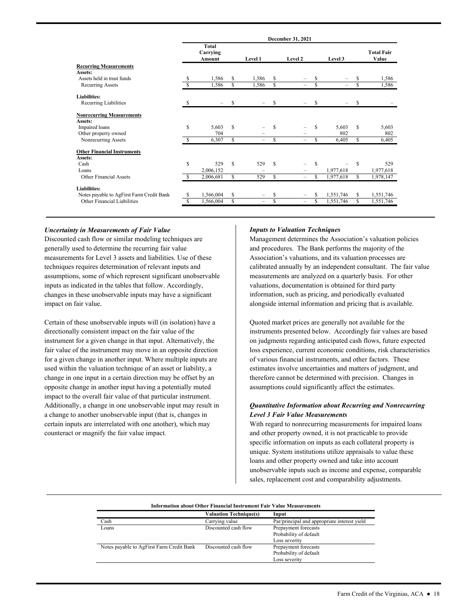|                                           |    | December 31, 2021                  |    |                          |    |                          |               |           |    |                            |
|-------------------------------------------|----|------------------------------------|----|--------------------------|----|--------------------------|---------------|-----------|----|----------------------------|
|                                           |    | <b>Total</b><br>Carrying<br>Amount |    | Level 1                  |    | Level 2                  |               | Level 3   |    | <b>Total Fair</b><br>Value |
| <b>Recurring Measurements</b>             |    |                                    |    |                          |    |                          |               |           |    |                            |
| Assets:                                   |    |                                    |    |                          |    |                          |               |           |    |                            |
| Assets held in trust funds                | \$ | 1,586                              | S  | 1,586                    | \$ |                          | \$            |           | \$ | 1,586                      |
| <b>Recurring Assets</b>                   | S  | 1,586                              | \$ | 1,586                    | \$ | $\equiv$                 | \$            | $\equiv$  | S  | 1,586                      |
| Liabilities:                              |    |                                    |    |                          |    |                          |               |           |    |                            |
| Recurring Liabilities                     | -S |                                    | \$ |                          | \$ |                          | \$            |           | \$ |                            |
| <b>Nonrecurring Measurements</b>          |    |                                    |    |                          |    |                          |               |           |    |                            |
| Assets:                                   |    |                                    |    |                          |    |                          |               |           |    |                            |
| Impaired loans                            | \$ | 5,603                              | \$ |                          | \$ |                          | \$            | 5,603     | \$ | 5,603                      |
| Other property owned                      |    | 704                                |    |                          |    |                          |               | 802       |    | 802                        |
| Nonrecurring Assets                       |    | 6,307                              | S  |                          | \$ | $\overline{\phantom{0}}$ | \$            | 6,405     | S  | 6,405                      |
| <b>Other Financial Instruments</b>        |    |                                    |    |                          |    |                          |               |           |    |                            |
| Assets:                                   |    |                                    |    |                          |    |                          |               |           |    |                            |
| Cash                                      | \$ | 529                                | S  | 529                      | \$ |                          | <sup>\$</sup> |           | \$ | 529                        |
| Loans                                     |    | 2,006,152                          |    |                          |    |                          |               | 1,977,618 |    | 1,977,618                  |
| <b>Other Financial Assets</b>             |    | 2,006,681                          | S  | 529                      | \$ | -                        | S             | 1,977,618 | S  | 1,978,147                  |
| <b>Liabilities:</b>                       |    |                                    |    |                          |    |                          |               |           |    |                            |
| Notes payable to AgFirst Farm Credit Bank | \$ | 1,566,004                          | \$ |                          | \$ |                          |               | 1,551,746 | \$ | 1,551,746                  |
| Other Financial Liabilities               | S  | 1,566,004                          | \$ | $\overline{\phantom{0}}$ | \$ | -                        | \$            | 1,551,746 | \$ | 1,551,746                  |
|                                           |    |                                    |    |                          |    |                          |               |           |    |                            |

### *Uncertainty in Measurements of Fair Value*

Discounted cash flow or similar modeling techniques are generally used to determine the recurring fair value measurements for Level 3 assets and liabilities. Use of these techniques requires determination of relevant inputs and assumptions, some of which represent significant unobservable inputs as indicated in the tables that follow. Accordingly, changes in these unobservable inputs may have a significant impact on fair value.

Certain of these unobservable inputs will (in isolation) have a directionally consistent impact on the fair value of the instrument for a given change in that input. Alternatively, the fair value of the instrument may move in an opposite direction for a given change in another input. Where multiple inputs are used within the valuation technique of an asset or liability, a change in one input in a certain direction may be offset by an opposite change in another input having a potentially muted impact to the overall fair value of that particular instrument. Additionally, a change in one unobservable input may result in a change to another unobservable input (that is, changes in certain inputs are interrelated with one another), which may counteract or magnify the fair value impact.

#### *Inputs to Valuation Techniques*

 calibrated annually by an independent consultant. The fair value measurements are analyzed on a quarterly basis. For other valuations, documentation is obtained for third party Management determines the Association's valuation policies and procedures. The Bank performs the majority of the Association's valuations, and its valuation processes are information, such as pricing, and periodically evaluated alongside internal information and pricing that is available.

 of various financial instruments, and other factors. These Quoted market prices are generally not available for the instruments presented below. Accordingly fair values are based on judgments regarding anticipated cash flows, future expected loss experience, current economic conditions, risk characteristics estimates involve uncertainties and matters of judgment, and therefore cannot be determined with precision. Changes in assumptions could significantly affect the estimates.

# *Quantitative Information about Recurring and Nonrecurring Level 3 Fair Value Measurements*

With regard to nonrecurring measurements for impaired loans and other property owned, it is not practicable to provide specific information on inputs as each collateral property is unique. System institutions utilize appraisals to value these loans and other property owned and take into account unobservable inputs such as income and expense, comparable sales, replacement cost and comparability adjustments.

#### **Information about Other Financial Instrument Fair Value Measurements**

|                                           | <b>Valuation Technique(s)</b> | Input                                        |
|-------------------------------------------|-------------------------------|----------------------------------------------|
| Cash                                      | Carrying value                | Par/principal and appropriate interest yield |
| Loans                                     | Discounted cash flow          | Prepayment forecasts                         |
|                                           |                               | Probability of default                       |
|                                           |                               | Loss severity                                |
| Notes payable to AgFirst Farm Credit Bank | Discounted cash flow          | Prepayment forecasts                         |
|                                           |                               | Probability of default                       |
|                                           |                               | Loss severity                                |
|                                           |                               |                                              |